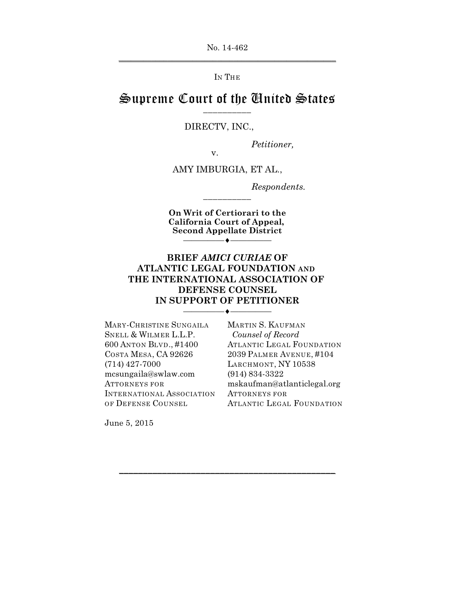No. 14-462  $\overline{\phantom{a}}$  , and the contract of the contract of the contract of the contract of the contract of the contract of the contract of the contract of the contract of the contract of the contract of the contract of the contrac

IN THE

## Supreme Court of the United States \_\_\_\_\_\_\_\_\_\_

#### DIRECTV, INC.,

v.

*Petitioner,*

AMY IMBURGIA, ET AL.,

*Respondents.*

**On Writ of Certiorari to the California Court of Appeal, Second Appellate District** —————<del>——————</del>

\_\_\_\_\_\_\_\_\_\_

## **BRIEF** *AMICI CURIAE* **OF ATLANTIC LEGAL FOUNDATION AND THE INTERNATIONAL ASSOCIATION OF DEFENSE COUNSEL IN SUPPORT OF PETITIONER**

—————<del>——————</del>

\_\_\_\_\_\_\_\_\_\_\_\_\_\_\_\_\_\_\_\_\_\_\_\_\_\_\_\_\_\_\_\_\_\_\_\_\_\_\_\_\_\_\_\_\_

MARY-CHRISTINE SUNGAILA SNELL & WILMER L.L.P. 600 ANTON BLVD., #1400 COSTA MESA, CA 92626 (714) 427-7000 mcsungaila@swlaw.com ATTORNEYS FOR INTERNATIONAL ASSOCIATION OF DEFENSE COUNSEL

MARTIN S. KAUFMAN *Counsel of Record* ATLANTIC LEGAL FOUNDATION 2039 PALMER AVENUE, #104 LARCHMONT, NY 10538 (914) 834-3322 mskaufman@atlanticlegal.org ATTORNEYS FOR ATLANTIC LEGAL FOUNDATION

June 5, 2015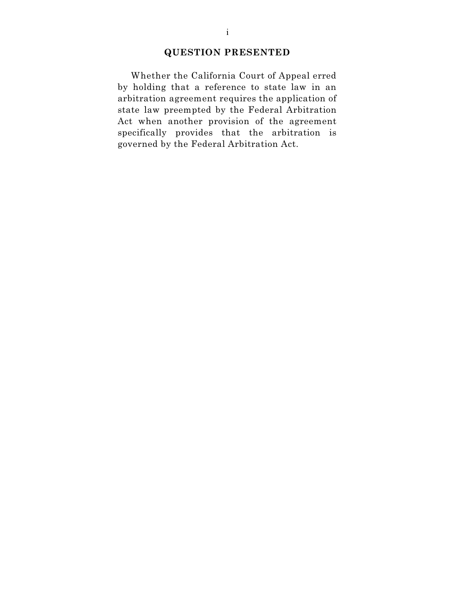## **QUESTION PRESENTED**

Whether the California Court of Appeal erred by holding that a reference to state law in an arbitration agreement requires the application of state law preempted by the Federal Arbitration Act when another provision of the agreement specifically provides that the arbitration is governed by the Federal Arbitration Act.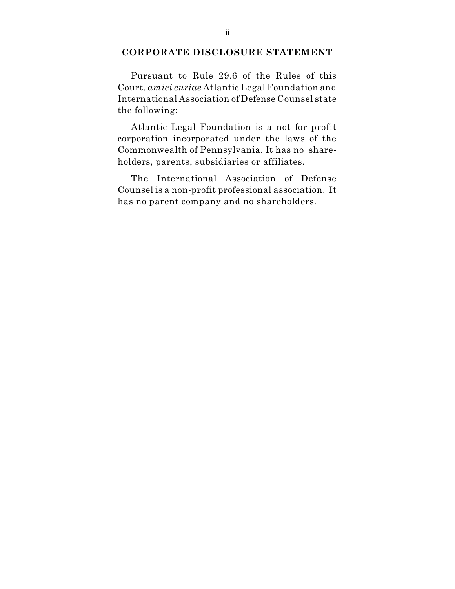### **CORPORATE DISCLOSURE STATEMENT**

Pursuant to Rule 29.6 of the Rules of this Court, *amici curiae* Atlantic Legal Foundation and International Association of Defense Counsel state the following:

Atlantic Legal Foundation is a not for profit corporation incorporated under the laws of the Commonwealth of Pennsylvania. It has no shareholders, parents, subsidiaries or affiliates.

The International Association of Defense Counsel is a non-profit professional association. It has no parent company and no shareholders.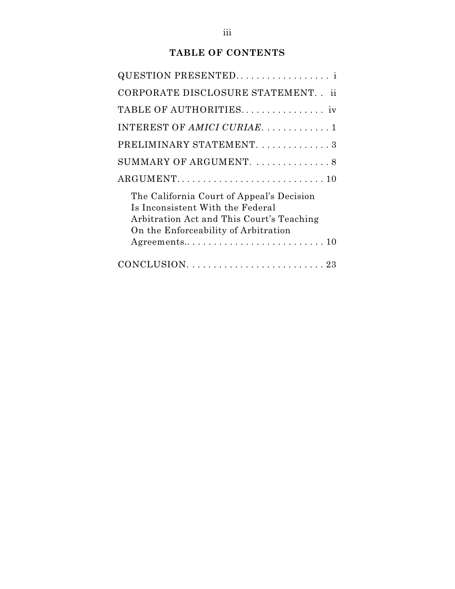# **TABLE OF CONTENTS**

| QUESTION PRESENTED                                                                                                                                                 |
|--------------------------------------------------------------------------------------------------------------------------------------------------------------------|
| CORPORATE DISCLOSURE STATEMENT. . ii                                                                                                                               |
| TABLE OF AUTHORITIES                                                                                                                                               |
| INTEREST OF AMICI CURIAE1                                                                                                                                          |
| PRELIMINARY STATEMENT. 3                                                                                                                                           |
| SUMMARY OF ARGUMENT.  8                                                                                                                                            |
|                                                                                                                                                                    |
| The California Court of Appeal's Decision<br>Is Inconsistent With the Federal<br>Arbitration Act and This Court's Teaching<br>On the Enforceability of Arbitration |
|                                                                                                                                                                    |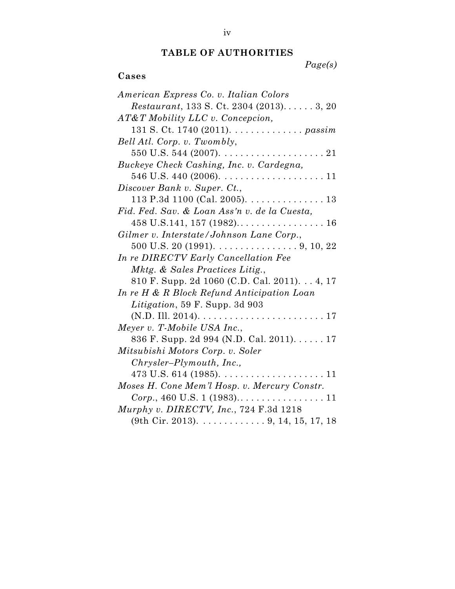# **TABLE OF AUTHORITIES**

*Page(s)*

# **Cases**

| American Express Co. v. Italian Colors                              |
|---------------------------------------------------------------------|
| <i>Restaurant</i> , 133 S. Ct. 2304 $(2013)$ 3, 20                  |
| $AT\&T$ Mobility LLC v. Concepcion,                                 |
| 131 S. Ct. 1740 (2011). passim                                      |
| Bell Atl. Corp. v. Twombly,                                         |
|                                                                     |
| Buckeye Check Cashing, Inc. v. Cardegna,                            |
|                                                                     |
| Discover Bank v. Super. Ct.,                                        |
| 113 P.3d 1100 (Cal. 2005). $\dots \dots \dots \dots \dots \dots$ 13 |
| Fid. Fed. Sav. & Loan Ass'n v. de la Cuesta,                        |
|                                                                     |
| Gilmer v. Interstate/Johnson Lane Corp.,                            |
| $500$ U.S. 20 (1991). 9, 10, 22                                     |
| In re DIRECTV Early Cancellation Fee                                |
| Mktg. & Sales Practices Litig.,                                     |
| 810 F. Supp. 2d 1060 (C.D. Cal. 2011). 4, 17                        |
| In re H & R Block Refund Anticipation Loan                          |
| Litigation, 59 F. Supp. 3d 903                                      |
| $(N.D. III. 2014). \ldots. \ldots. \ldots. \ldots. \ldots. 17$      |
| Meyer v. T-Mobile USA Inc.,                                         |
| 836 F. Supp. 2d 994 (N.D. Cal. 2011). 17                            |
| Mitsubishi Motors Corp. v. Soler                                    |
| $Chrysler-Plymouth, Inc.,$                                          |
|                                                                     |
| Moses H. Cone Mem'l Hosp. v. Mercury Constr.                        |
|                                                                     |
| Murphy v. DIRECTV, Inc., 724 F.3d 1218                              |
| $(9th Cir. 2013). \ldots \ldots \ldots \ldots 9, 14, 15, 17, 18$    |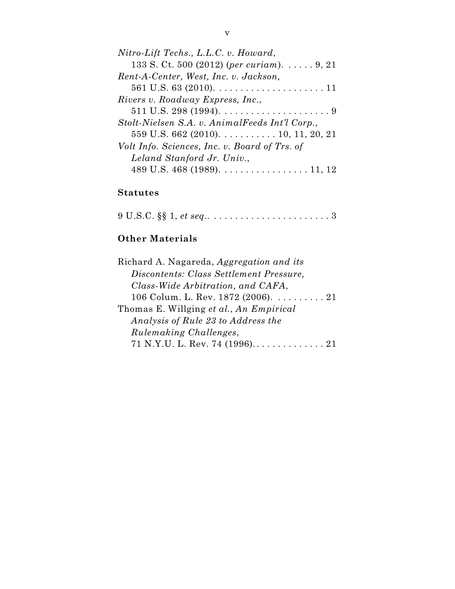| Nitro-Lift Techs., L.L.C. v. Howard,                              |
|-------------------------------------------------------------------|
| 133 S. Ct. 500 (2012) (per curiam). $\dots$ 9, 21                 |
| Rent-A-Center, West, Inc. v. Jackson,                             |
|                                                                   |
| Rivers v. Roadway Express, Inc.,                                  |
| 511 U.S. 298 (1994). $\dots \dots \dots \dots \dots \dots \dots$  |
| Stolt-Nielsen S.A. v. AnimalFeeds Int'l Corp.,                    |
| $559$ U.S. 662 (2010). 10, 11, 20, 21                             |
| Volt Info. Sciences, Inc. v. Board of Trs. of                     |
| Leland Stanford Jr. Univ.,                                        |
| 489 U.S. 468 (1989). $\dots \dots \dots \dots \dots \dots 11, 12$ |
|                                                                   |

# **Statutes**

9 U.S.C. §§ 1, *et seq*.. . . . . . . . . . . . . . . . . . . . . . . 3

# **Other Materials**

| Richard A. Nagareda, Aggregation and its               |
|--------------------------------------------------------|
| Discontents: Class Settlement Pressure,                |
| Class-Wide Arbitration, and CAFA,                      |
| 106 Colum. L. Rev. 1872 (2006). $\dots \dots \dots 21$ |
| Thomas E. Willging et al., An Empirical                |
| Analysis of Rule 23 to Address the                     |
| <i>Rulemaking Challenges,</i>                          |
|                                                        |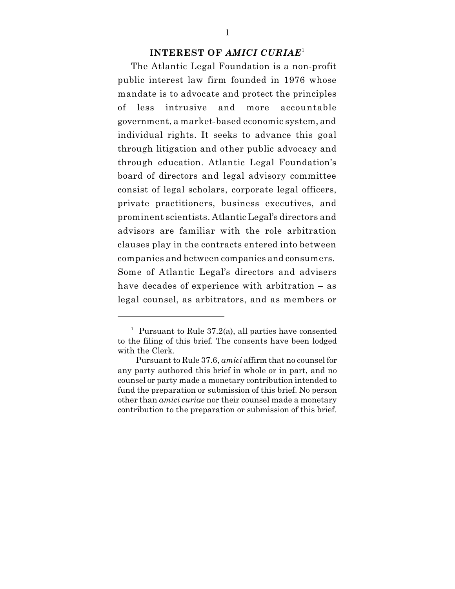### **INTEREST OF** *AMICI CURIAE* 1

The Atlantic Legal Foundation is a non-profit public interest law firm founded in 1976 whose mandate is to advocate and protect the principles of less intrusive and more accountable government, a market-based economic system, and individual rights. It seeks to advance this goal through litigation and other public advocacy and through education. Atlantic Legal Foundation's board of directors and legal advisory committee consist of legal scholars, corporate legal officers, private practitioners, business executives, and prominent scientists. Atlantic Legal's directors and advisors are familiar with the role arbitration clauses play in the contracts entered into between companies and between companies and consumers. Some of Atlantic Legal's directors and advisers have decades of experience with arbitration – as legal counsel, as arbitrators, and as members or

<sup>&</sup>lt;sup>1</sup> Pursuant to Rule 37.2(a), all parties have consented to the filing of this brief. The consents have been lodged with the Clerk.

Pursuant to Rule 37.6, *amici* affirm that no counsel for any party authored this brief in whole or in part, and no counsel or party made a monetary contribution intended to fund the preparation or submission of this brief. No person other than *amici curiae* nor their counsel made a monetary contribution to the preparation or submission of this brief.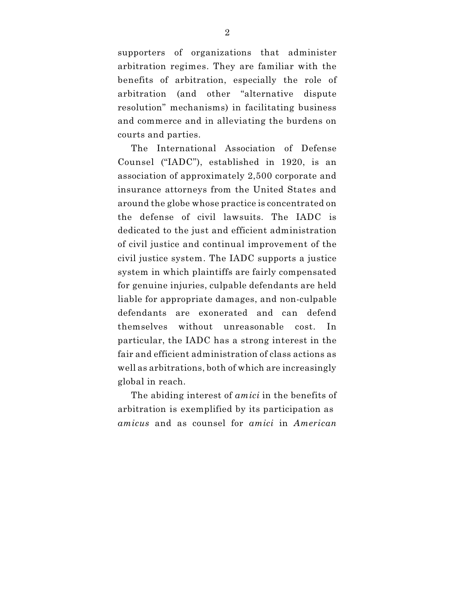supporters of organizations that administer arbitration regimes. They are familiar with the benefits of arbitration, especially the role of arbitration (and other "alternative dispute resolution" mechanisms) in facilitating business and commerce and in alleviating the burdens on courts and parties.

The International Association of Defense Counsel ("IADC"), established in 1920, is an association of approximately 2,500 corporate and insurance attorneys from the United States and around the globe whose practice is concentrated on the defense of civil lawsuits. The IADC is dedicated to the just and efficient administration of civil justice and continual improvement of the civil justice system. The IADC supports a justice system in which plaintiffs are fairly compensated for genuine injuries, culpable defendants are held liable for appropriate damages, and non-culpable defendants are exonerated and can defend themselves without unreasonable cost. In particular, the IADC has a strong interest in the fair and efficient administration of class actions as well as arbitrations, both of which are increasingly global in reach.

The abiding interest of *amici* in the benefits of arbitration is exemplified by its participation as *amicus* and as counsel for *amici* in *American*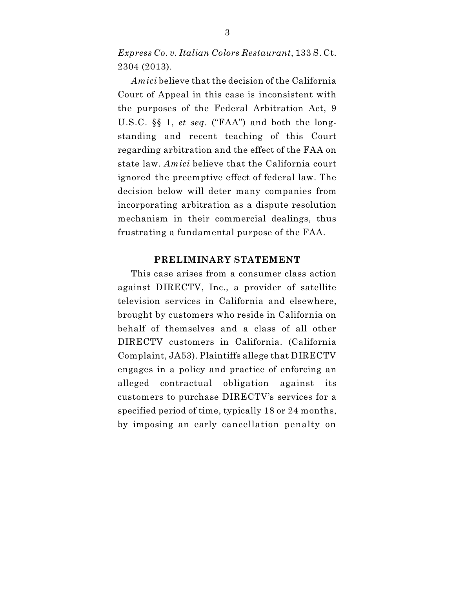*Express Co. v. Italian Colors Restaurant*, 133 S. Ct. 2304 (2013).

*Amici* believe that the decision of the California Court of Appeal in this case is inconsistent with the purposes of the Federal Arbitration Act, 9 U.S.C. §§ 1, *et seq*. ("FAA") and both the longstanding and recent teaching of this Court regarding arbitration and the effect of the FAA on state law. *Amici* believe that the California court ignored the preemptive effect of federal law. The decision below will deter many companies from incorporating arbitration as a dispute resolution mechanism in their commercial dealings, thus frustrating a fundamental purpose of the FAA.

### **PRELIMINARY STATEMENT**

This case arises from a consumer class action against DIRECTV, Inc., a provider of satellite television services in California and elsewhere, brought by customers who reside in California on behalf of themselves and a class of all other DIRECTV customers in California. (California Complaint, JA53). Plaintiffs allege that DIRECTV engages in a policy and practice of enforcing an alleged contractual obligation against its customers to purchase DIRECTV's services for a specified period of time, typically 18 or 24 months, by imposing an early cancellation penalty on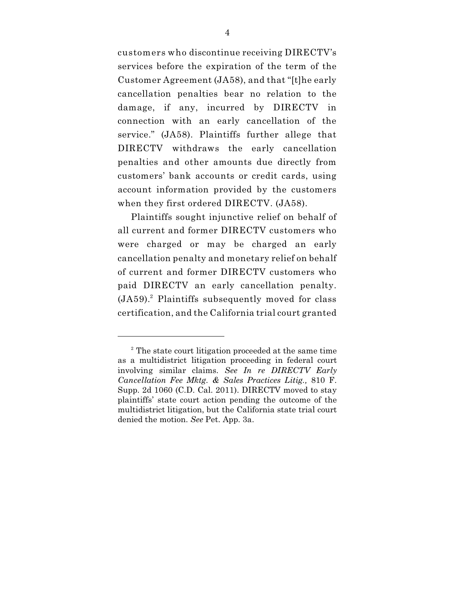customers who discontinue receiving DIRECTV's services before the expiration of the term of the Customer Agreement (JA58), and that "[t]he early cancellation penalties bear no relation to the damage, if any, incurred by DIRECTV in connection with an early cancellation of the service." (JA58). Plaintiffs further allege that DIRECTV withdraws the early cancellation penalties and other amounts due directly from customers' bank accounts or credit cards, using account information provided by the customers when they first ordered DIRECTV. (JA58).

Plaintiffs sought injunctive relief on behalf of all current and former DIRECTV customers who were charged or may be charged an early cancellation penalty and monetary relief on behalf of current and former DIRECTV customers who paid DIRECTV an early cancellation penalty.  $(JA59).$ <sup>2</sup> Plaintiffs subsequently moved for class certification, and the California trial court granted

<sup>&</sup>lt;sup>2</sup> The state court litigation proceeded at the same time as a multidistrict litigation proceeding in federal court involving similar claims. *See In re DIRECTV Early Cancellation Fee Mktg. & Sales Practices Litig.,* 810 F. Supp. 2d 1060 (C.D. Cal. 2011). DIRECTV moved to stay plaintiffs' state court action pending the outcome of the multidistrict litigation, but the California state trial court denied the motion. *See* Pet. App. 3a.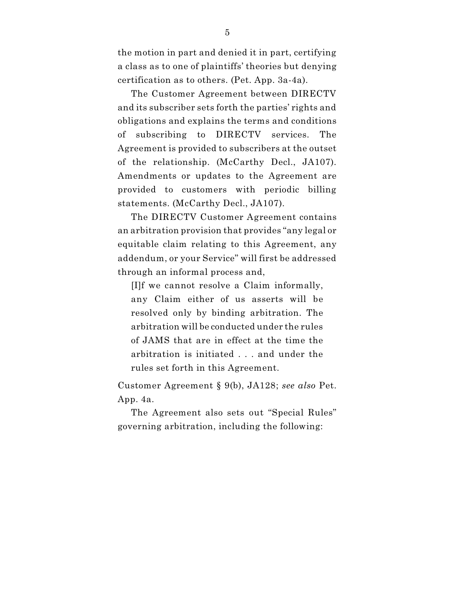the motion in part and denied it in part, certifying a class as to one of plaintiffs' theories but denying certification as to others. (Pet. App. 3a-4a).

The Customer Agreement between DIRECTV and its subscriber sets forth the parties' rights and obligations and explains the terms and conditions of subscribing to DIRECTV services. The Agreement is provided to subscribers at the outset of the relationship. (McCarthy Decl., JA107). Amendments or updates to the Agreement are provided to customers with periodic billing statements. (McCarthy Decl., JA107).

The DIRECTV Customer Agreement contains an arbitration provision that provides "any legal or equitable claim relating to this Agreement, any addendum, or your Service" will first be addressed through an informal process and,

[I]f we cannot resolve a Claim informally, any Claim either of us asserts will be resolved only by binding arbitration. The arbitration will be conducted under the rules of JAMS that are in effect at the time the arbitration is initiated . . . and under the rules set forth in this Agreement.

Customer Agreement § 9(b), JA128; *see also* Pet. App. 4a.

The Agreement also sets out "Special Rules" governing arbitration, including the following: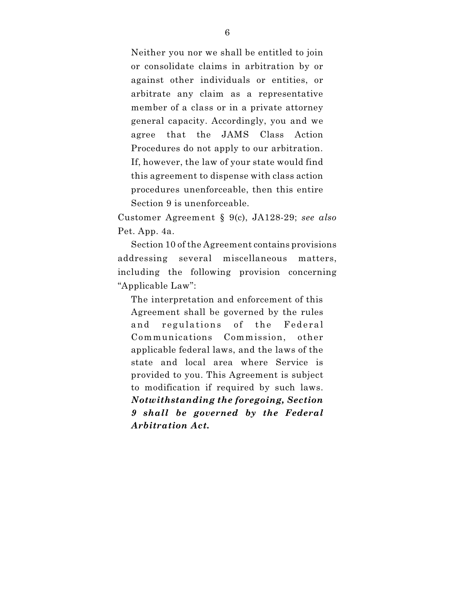Neither you nor we shall be entitled to join or consolidate claims in arbitration by or against other individuals or entities, or arbitrate any claim as a representative member of a class or in a private attorney general capacity. Accordingly, you and we agree that the JAMS Class Action Procedures do not apply to our arbitration. If, however, the law of your state would find this agreement to dispense with class action procedures unenforceable, then this entire Section 9 is unenforceable.

Customer Agreement § 9(c), JA128-29; *see also* Pet. App. 4a.

Section 10 of the Agreement contains provisions addressing several miscellaneous matters, including the following provision concerning "Applicable Law":

The interpretation and enforcement of this Agreement shall be governed by the rules and regulations of the Federal Communications Commission, other applicable federal laws, and the laws of the state and local area where Service is provided to you. This Agreement is subject to modification if required by such laws. *Notwithstanding the foregoing, Section 9 shall be governed by the Federal Arbitration Act.*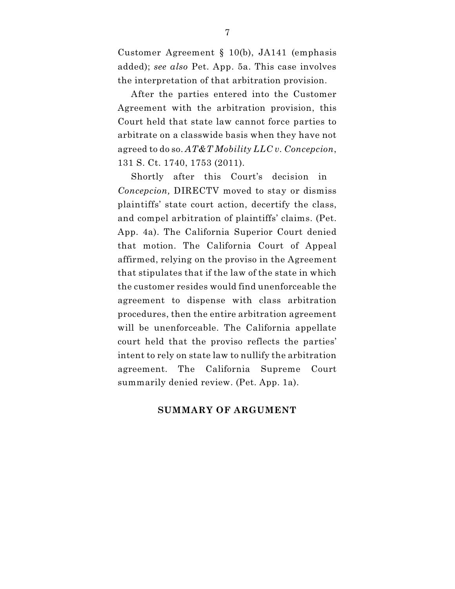Customer Agreement § 10(b), JA141 (emphasis added); *see also* Pet. App. 5a. This case involves the interpretation of that arbitration provision.

After the parties entered into the Customer Agreement with the arbitration provision, this Court held that state law cannot force parties to arbitrate on a classwide basis when they have not agreed to do so. *AT&T Mobility LLC v. Concepcion*, 131 S. Ct. 1740, 1753 (2011).

Shortly after this Court's decision in *Concepcion,* DIRECTV moved to stay or dismiss plaintiffs' state court action, decertify the class, and compel arbitration of plaintiffs' claims. (Pet. App. 4a). The California Superior Court denied that motion. The California Court of Appeal affirmed, relying on the proviso in the Agreement that stipulates that if the law of the state in which the customer resides would find unenforceable the agreement to dispense with class arbitration procedures, then the entire arbitration agreement will be unenforceable. The California appellate court held that the proviso reflects the parties' intent to rely on state law to nullify the arbitration agreement. The California Supreme Court summarily denied review. (Pet. App. 1a).

### **SUMMARY OF ARGUMENT**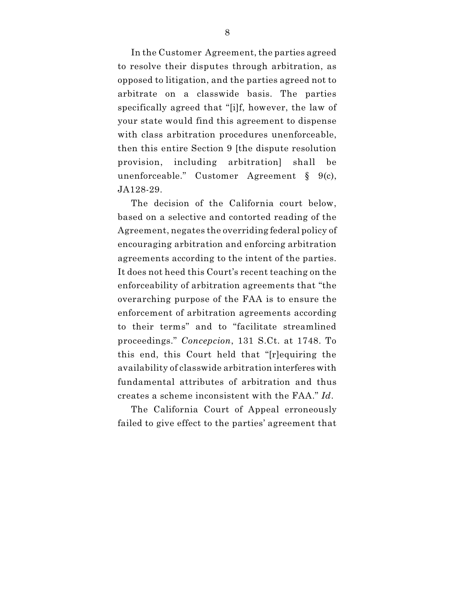In the Customer Agreement, the parties agreed to resolve their disputes through arbitration, as opposed to litigation, and the parties agreed not to arbitrate on a classwide basis. The parties specifically agreed that "[i]f, however, the law of your state would find this agreement to dispense with class arbitration procedures unenforceable, then this entire Section 9 [the dispute resolution provision, including arbitration] shall be unenforceable." Customer Agreement § 9(c), JA128-29.

The decision of the California court below, based on a selective and contorted reading of the Agreement, negates the overriding federal policy of encouraging arbitration and enforcing arbitration agreements according to the intent of the parties. It does not heed this Court's recent teaching on the enforceability of arbitration agreements that "the overarching purpose of the FAA is to ensure the enforcement of arbitration agreements according to their terms" and to "facilitate streamlined proceedings." *Concepcion*, 131 S.Ct. at 1748. To this end, this Court held that "[r]equiring the availability of classwide arbitration interferes with fundamental attributes of arbitration and thus creates a scheme inconsistent with the FAA." *Id*.

The California Court of Appeal erroneously failed to give effect to the parties' agreement that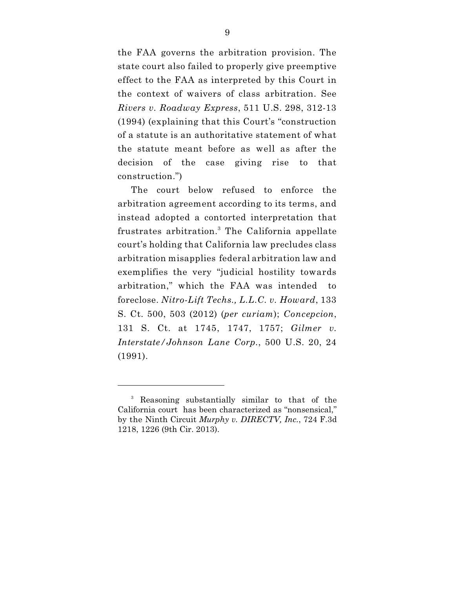the FAA governs the arbitration provision. The state court also failed to properly give preemptive effect to the FAA as interpreted by this Court in the context of waivers of class arbitration. See *Rivers v. Roadway Express*, 511 U.S. 298, 312-13 (1994) (explaining that this Court's "construction of a statute is an authoritative statement of what the statute meant before as well as after the decision of the case giving rise to that construction.")

The court below refused to enforce the arbitration agreement according to its terms, and instead adopted a contorted interpretation that frustrates arbitration.<sup>3</sup> The California appellate court's holding that California law precludes class arbitration misapplies federal arbitration law and exemplifies the very "judicial hostility towards arbitration," which the FAA was intended to foreclose. *Nitro-Lift Techs., L.L.C. v. Howard*, 133 S. Ct. 500, 503 (2012) (*per curiam*); *Concepcion*, 131 S. Ct. at 1745, 1747, 1757; *Gilmer v. Interstate/Johnson Lane Corp.*, 500 U.S. 20, 24 (1991).

<sup>&</sup>lt;sup>3</sup> Reasoning substantially similar to that of the California court has been characterized as "nonsensical," by the Ninth Circuit *Murphy v. DIRECTV, Inc.*, 724 F.3d 1218, 1226 (9th Cir. 2013).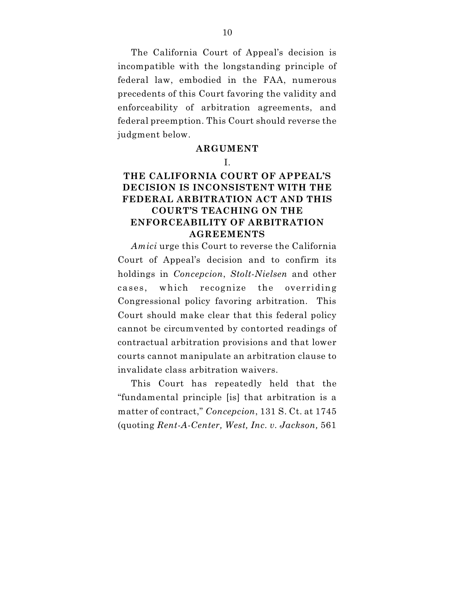The California Court of Appeal's decision is incompatible with the longstanding principle of federal law, embodied in the FAA, numerous precedents of this Court favoring the validity and enforceability of arbitration agreements, and federal preemption. This Court should reverse the judgment below.

### **ARGUMENT**

#### I.

# **THE CALIFORNIA COURT OF APPEAL'S DECISION IS INCONSISTENT WITH THE FEDERAL ARBITRATION ACT AND THIS COURT'S TEACHING ON THE ENFORCEABILITY OF ARBITRATION AGREEMENTS**

*Amici* urge this Court to reverse the California Court of Appeal's decision and to confirm its holdings in *Concepcion*, *Stolt-Nielsen* and other cases, which recognize the overriding Congressional policy favoring arbitration. This Court should make clear that this federal policy cannot be circumvented by contorted readings of contractual arbitration provisions and that lower courts cannot manipulate an arbitration clause to invalidate class arbitration waivers.

This Court has repeatedly held that the "fundamental principle [is] that arbitration is a matter of contract," *Concepcion*, 131 S. Ct. at 1745 (quoting *Rent-A-Center, West, Inc. v. Jackson,* 561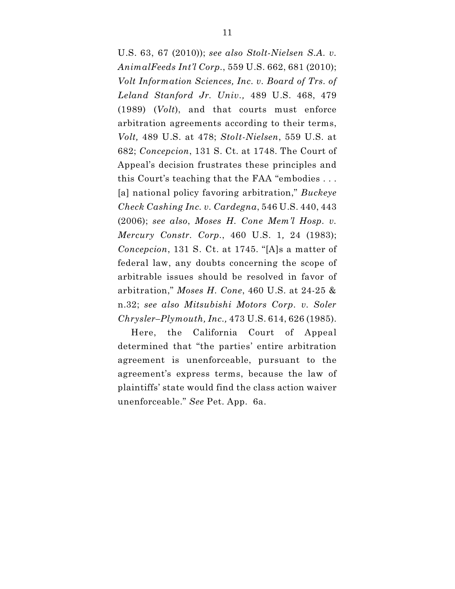U.S. 63, 67 (2010)); *see also Stolt-Nielsen S.A. v. AnimalFeeds Int'l Corp.*, 559 U.S. 662, 681 (2010); *Volt Information Sciences, Inc. v. Board of Trs. of Leland Stanford Jr. Univ.,* 489 U.S. 468, 479 (1989) (*Volt*), and that courts must enforce arbitration agreements according to their terms, *Volt,* 489 U.S. at 478; *Stolt-Nielsen*, 559 U.S. at 682; *Concepcion*, 131 S. Ct. at 1748. The Court of Appeal's decision frustrates these principles and this Court's teaching that the FAA "embodies . . . [a] national policy favoring arbitration," *Buckeye Check Cashing Inc. v. Cardegna*, 546 U.S. 440, 443 (2006); *see also*, *Moses H. Cone Mem'l Hosp. v. Mercury Constr. Corp.*, 460 U.S. 1*,* 24 (1983); *Concepcion*, 131 S. Ct. at 1745. "[A]s a matter of federal law, any doubts concerning the scope of arbitrable issues should be resolved in favor of arbitration," *Moses H. Cone*, 460 U.S. at 24-25 & n.32; *see also Mitsubishi Motors Corp. v. Soler Chrysler–Plymouth, Inc.,* 473 U.S. 614, 626 (1985).

Here, the California Court of Appeal determined that "the parties' entire arbitration agreement is unenforceable, pursuant to the agreement's express terms, because the law of plaintiffs' state would find the class action waiver unenforceable." *See* Pet. App. 6a.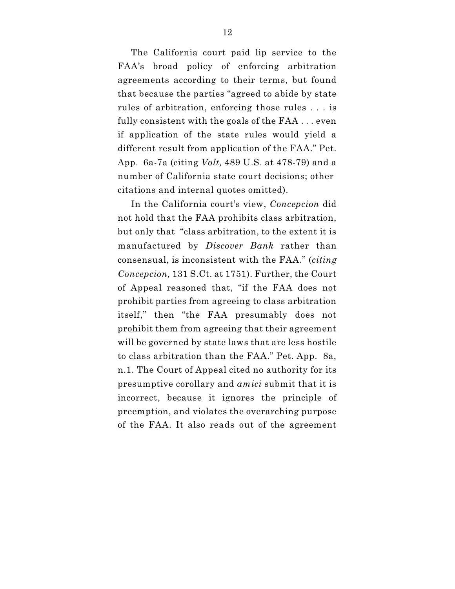The California court paid lip service to the FAA's broad policy of enforcing arbitration agreements according to their terms, but found that because the parties "agreed to abide by state rules of arbitration, enforcing those rules . . . is fully consistent with the goals of the FAA . . . even if application of the state rules would yield a different result from application of the FAA." Pet. App. 6a-7a (citing *Volt,* 489 U.S. at 478-79) and a number of California state court decisions; other citations and internal quotes omitted).

In the California court's view, *Concepcion* did not hold that the FAA prohibits class arbitration, but only that "class arbitration, to the extent it is manufactured by *Discover Bank* rather than consensual, is inconsistent with the FAA." (*citing Concepcion,* 131 S.Ct. at 1751). Further, the Court of Appeal reasoned that, "if the FAA does not prohibit parties from agreeing to class arbitration itself," then "the FAA presumably does not prohibit them from agreeing that their agreement will be governed by state laws that are less hostile to class arbitration than the FAA." Pet. App. 8a, n.1. The Court of Appeal cited no authority for its presumptive corollary and *amici* submit that it is incorrect, because it ignores the principle of preemption, and violates the overarching purpose of the FAA. It also reads out of the agreement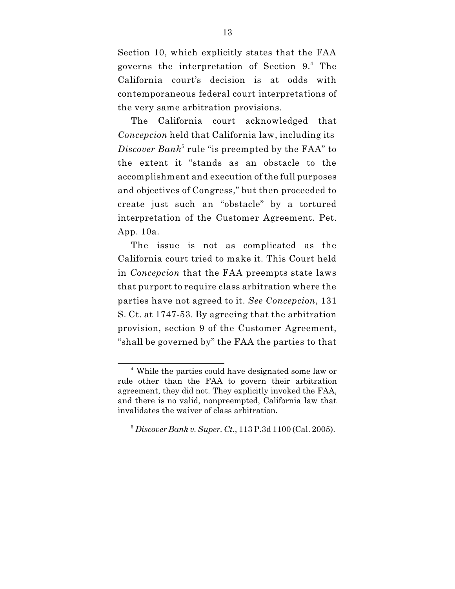Section 10, which explicitly states that the FAA governs the interpretation of Section 9.4 The California court's decision is at odds with contemporaneous federal court interpretations of the very same arbitration provisions.

The California court acknowledged that *Concepcion* held that California law, including its  $Discover~Bank^5$  rule "is preempted by the FAA" to the extent it "stands as an obstacle to the accomplishment and execution of the full purposes and objectives of Congress," but then proceeded to create just such an "obstacle" by a tortured interpretation of the Customer Agreement. Pet. App. 10a.

The issue is not as complicated as the California court tried to make it. This Court held in *Concepcion* that the FAA preempts state laws that purport to require class arbitration where the parties have not agreed to it. *See Concepcion*, 131 S. Ct. at 1747-53. By agreeing that the arbitration provision, section 9 of the Customer Agreement, "shall be governed by" the FAA the parties to that

<sup>&</sup>lt;sup>4</sup> While the parties could have designated some law or rule other than the FAA to govern their arbitration agreement, they did not. They explicitly invoked the FAA, and there is no valid, nonpreempted, California law that invalidates the waiver of class arbitration.

*Discover Bank v. Super. Ct.*, 113 P.3d 1100 (Cal. 2005). <sup>5</sup>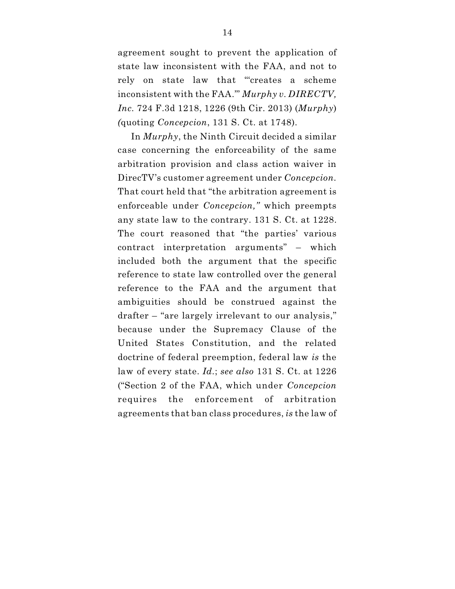agreement sought to prevent the application of state law inconsistent with the FAA, and not to rely on state law that "'creates a scheme inconsistent with the FAA.'" *Murphy v. DIRECTV, Inc.* 724 F.3d 1218, 1226 (9th Cir. 2013) (*Murphy*) *(*quoting *Concepcion*, 131 S. Ct. at 1748).

In *Murphy*, the Ninth Circuit decided a similar case concerning the enforceability of the same arbitration provision and class action waiver in DirecTV's customer agreement under *Concepcion.* That court held that "the arbitration agreement is enforceable under *Concepcion,"* which preempts any state law to the contrary. 131 S. Ct. at 1228. The court reasoned that "the parties' various contract interpretation arguments" – which included both the argument that the specific reference to state law controlled over the general reference to the FAA and the argument that ambiguities should be construed against the drafter – "are largely irrelevant to our analysis," because under the Supremacy Clause of the United States Constitution, and the related doctrine of federal preemption, federal law *is* the law of every state. *Id.*; *see also* 131 S. Ct. at 1226 ("Section 2 of the FAA, which under *Concepcion* requires the enforcement of arbitration agreements that ban class procedures, *is* the law of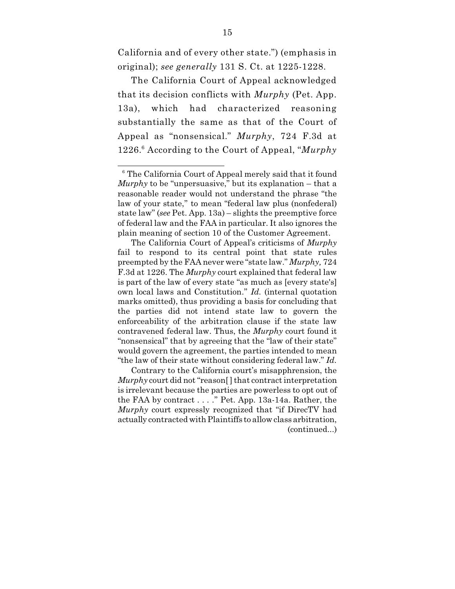California and of every other state.") (emphasis in original); *see generally* 131 S. Ct. at 1225-1228.

The California Court of Appeal acknowledged that its decision conflicts with *Murphy* (Pet. App. 13a), which had characterized reasoning substantially the same as that of the Court of Appeal as "nonsensical." *Murphy*, 724 F.3d at 1226. According to the Court of Appeal, "*Murphy* 6

Contrary to the California court's misapphrension, the *Murphy* court did not "reason[ ] that contract interpretation is irrelevant because the parties are powerless to opt out of the FAA by contract . . . ." Pet. App. 13a-14a. Rather, the *Murphy* court expressly recognized that "if DirecTV had actually contracted with Plaintiffs to allow class arbitration, (continued...)

<sup>&</sup>lt;sup>6</sup> The California Court of Appeal merely said that it found *Murphy* to be "unpersuasive," but its explanation – that a reasonable reader would not understand the phrase "the law of your state," to mean "federal law plus (nonfederal) state law" (*see* Pet. App. 13a) – slights the preemptive force of federal law and the FAA in particular. It also ignores the plain meaning of section 10 of the Customer Agreement.

The California Court of Appeal's criticisms of *Murphy* fail to respond to its central point that state rules preempted by the FAA never were "state law." *Murphy,* 724 F.3d at 1226. The *Murphy* court explained that federal law is part of the law of every state "as much as [every state's] own local laws and Constitution." *Id.* (internal quotation marks omitted), thus providing a basis for concluding that the parties did not intend state law to govern the enforceability of the arbitration clause if the state law contravened federal law. Thus, the *Murphy* court found it "nonsensical" that by agreeing that the "law of their state" would govern the agreement, the parties intended to mean "the law of their state without considering federal law." *Id.*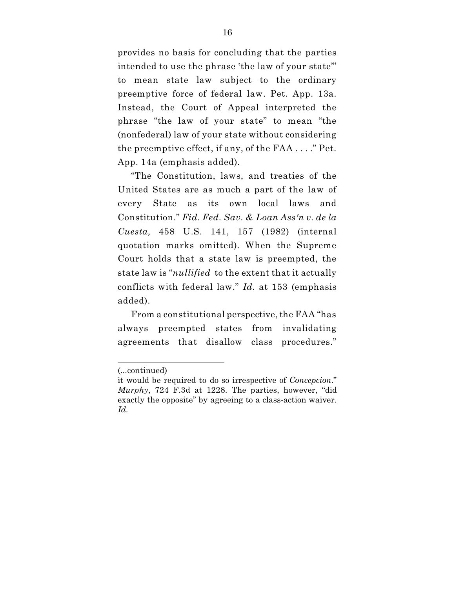provides no basis for concluding that the parties intended to use the phrase 'the law of your state" to mean state law subject to the ordinary preemptive force of federal law. Pet. App. 13a. Instead, the Court of Appeal interpreted the phrase "the law of your state" to mean "the (nonfederal) law of your state without considering the preemptive effect, if any, of the FAA . . . ." Pet. App. 14a (emphasis added).

"The Constitution, laws, and treaties of the United States are as much a part of the law of every State as its own local laws and Constitution." *Fid. Fed. Sav. & Loan Ass'n v. de la Cuesta,* 458 U.S. 141, 157 (1982) (internal quotation marks omitted). When the Supreme Court holds that a state law is preempted, the state law is "*nullified* to the extent that it actually conflicts with federal law." *Id.* at 153 (emphasis added).

From a constitutional perspective, the FAA "has always preempted states from invalidating agreements that disallow class procedures."

<sup>(...</sup>continued)

it would be required to do so irrespective of *Concepcion*." *Murphy*, 724 F.3d at 1228. The parties, however, "did exactly the opposite" by agreeing to a class-action waiver. *Id.*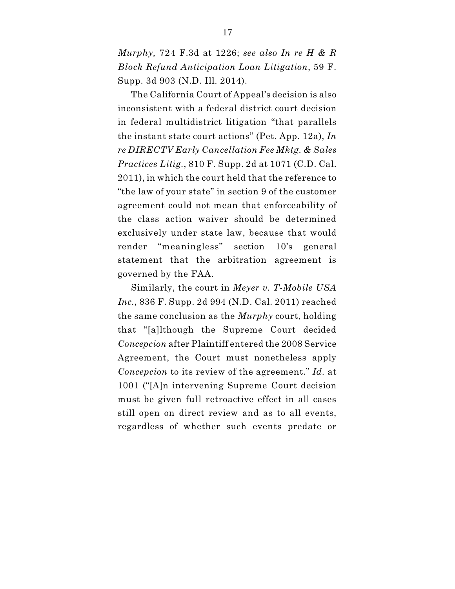*Murphy,* 724 F.3d at 1226; *see also In re H & R Block Refund Anticipation Loan Litigation*, 59 F. Supp. 3d 903 (N.D. Ill. 2014).

The California Court of Appeal's decision is also inconsistent with a federal district court decision in federal multidistrict litigation "that parallels the instant state court actions" (Pet. App. 12a), *In re DIRECTV Early Cancellation Fee Mktg. & Sales Practices Litig.*, 810 F. Supp. 2d at 1071 (C.D. Cal. 2011), in which the court held that the reference to "the law of your state" in section 9 of the customer agreement could not mean that enforceability of the class action waiver should be determined exclusively under state law, because that would render "meaningless" section 10's general statement that the arbitration agreement is governed by the FAA.

Similarly, the court in *Meyer v. T-Mobile USA Inc.*, 836 F. Supp. 2d 994 (N.D. Cal. 2011) reached the same conclusion as the *Murphy* court, holding that "[a]lthough the Supreme Court decided *Concepcion* after Plaintiff entered the 2008 Service Agreement, the Court must nonetheless apply *Concepcion* to its review of the agreement." *Id.* at 1001 ("[A]n intervening Supreme Court decision must be given full retroactive effect in all cases still open on direct review and as to all events, regardless of whether such events predate or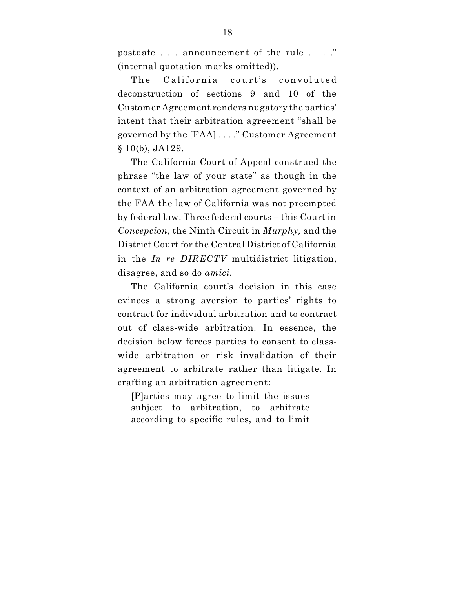postdate . . . announcement of the rule . . . ." (internal quotation marks omitted)).

The California court's convoluted deconstruction of sections 9 and 10 of the Customer Agreement renders nugatory the parties' intent that their arbitration agreement "shall be governed by the [FAA] . . . ." Customer Agreement § 10(b), JA129.

The California Court of Appeal construed the phrase "the law of your state" as though in the context of an arbitration agreement governed by the FAA the law of California was not preempted by federal law. Three federal courts – this Court in *Concepcion*, the Ninth Circuit in *Murphy,* and the District Court for the Central District of California in the *In re DIRECTV* multidistrict litigation, disagree, and so do *amici*.

The California court's decision in this case evinces a strong aversion to parties' rights to contract for individual arbitration and to contract out of class-wide arbitration. In essence, the decision below forces parties to consent to classwide arbitration or risk invalidation of their agreement to arbitrate rather than litigate. In crafting an arbitration agreement:

[P]arties may agree to limit the issues subject to arbitration, to arbitrate according to specific rules, and to limit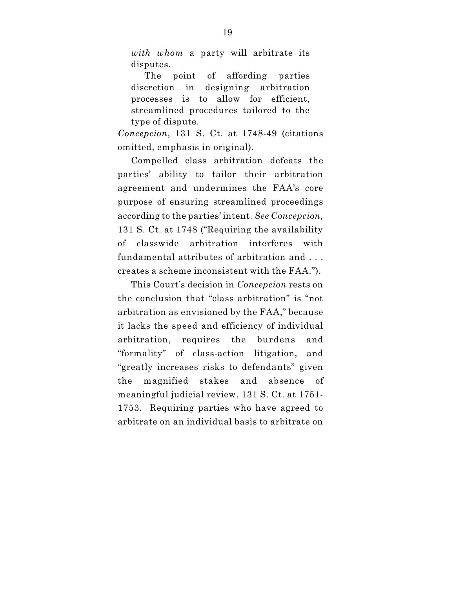*with whom* a party will arbitrate its disputes.

The point of affording parties discretion in designing arbitration processes is to allow for efficient, streamlined procedures tailored to the type of dispute.

*Concepcion*, 131 S. Ct. at 1748-49 (citations omitted, emphasis in original).

Compelled class arbitration defeats the parties' ability to tailor their arbitration agreement and undermines the FAA's core purpose of ensuring streamlined proceedings according to the parties' intent. *See Concepcion,* 131 S. Ct. at 1748 ("Requiring the availability of classwide arbitration interferes with fundamental attributes of arbitration and . . . creates a scheme inconsistent with the FAA.").

This Court's decision in *Concepcion* rests on the conclusion that "class arbitration" is "not arbitration as envisioned by the FAA," because it lacks the speed and efficiency of individual arbitration, requires the burdens and "formality" of class-action litigation, and "greatly increases risks to defendants" given the magnified stakes and absence of meaningful judicial review. 131 S. Ct. at 1751- 1753. Requiring parties who have agreed to arbitrate on an individual basis to arbitrate on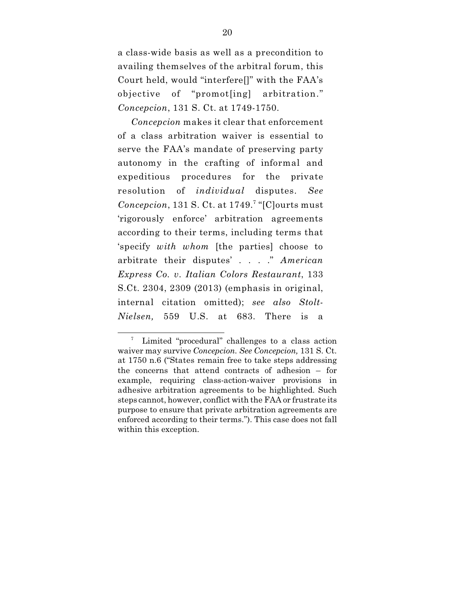a class-wide basis as well as a precondition to availing themselves of the arbitral forum, this Court held, would "interfere[]" with the FAA's objective of "promot[ing] arbitration." *Concepcion*, 131 S. Ct. at 1749-1750.

*Concepcion* makes it clear that enforcement of a class arbitration waiver is essential to serve the FAA's mandate of preserving party autonomy in the crafting of informal and expeditious procedures for the private resolution of *individual* disputes. *See* Concepcion, 131 S. Ct. at 1749.<sup>7</sup> "[C]ourts must 'rigorously enforce' arbitration agreements according to their terms, including terms that 'specify *with whom* [the parties] choose to arbitrate their disputes' . . . ." *American Express Co. v. Italian Colors Restaurant*, 133 S.Ct. 2304, 2309 (2013) (emphasis in original, internal citation omitted); *see also Stolt-Nielsen,* 559 U.S. at 683. There is a

Limited "procedural" challenges to a class action waiver may survive *Concepcion. See Concepcion,* 131 S. Ct. at 1750 n.6 ("States remain free to take steps addressing the concerns that attend contracts of adhesion – for example, requiring class-action-waiver provisions in adhesive arbitration agreements to be highlighted. Such steps cannot, however, conflict with the FAA or frustrate its purpose to ensure that private arbitration agreements are enforced according to their terms."). This case does not fall within this exception.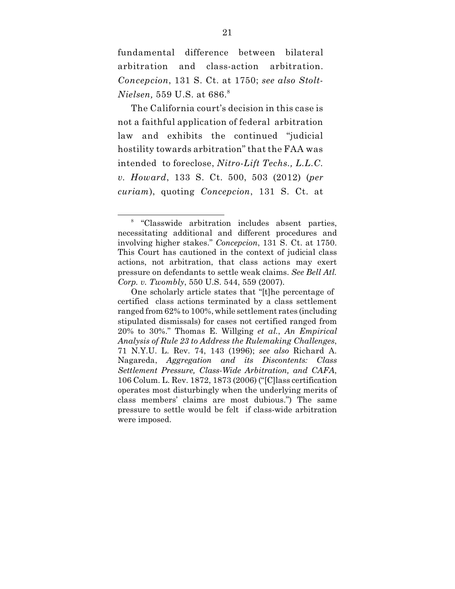fundamental difference between bilateral arbitration and class-action arbitration. *Concepcion*, 131 S. Ct. at 1750; *see also Stolt-Nielsen,* 559 U.S. at 686. 8

The California court's decision in this case is not a faithful application of federal arbitration law and exhibits the continued "judicial hostility towards arbitration" that the FAA was intended to foreclose, *Nitro-Lift Techs., L.L.C. v. Howard*, 133 S. Ct. 500, 503 (2012) (*per curiam*), quoting *Concepcion*, 131 S. Ct. at

<sup>&</sup>lt;sup>8</sup> "Classwide arbitration includes absent parties, necessitating additional and different procedures and involving higher stakes." *Concepcion*, 131 S. Ct. at 1750. This Court has cautioned in the context of judicial class actions, not arbitration, that class actions may exert pressure on defendants to settle weak claims. *See Bell Atl. Corp. v. Twombly*, 550 U.S. 544, 559 (2007).

One scholarly article states that "[t]he percentage of certified class actions terminated by a class settlement ranged from 62% to 100%, while settlement rates (including stipulated dismissals) for cases not certified ranged from 20% to 30%." Thomas E. Willging *et al.*, *An Empirical Analysis of Rule 23 to Address the Rulemaking Challenges*, 71 N.Y.U. L. Rev. 74, 143 (1996); *see also* Richard A. Nagareda, *Aggregation and its Discontents: Class Settlement Pressure, Class-Wide Arbitration, and CAFA*, 106 Colum. L. Rev. 1872, 1873 (2006) ("[C]lass certification operates most disturbingly when the underlying merits of class members' claims are most dubious.") The same pressure to settle would be felt if class-wide arbitration were imposed.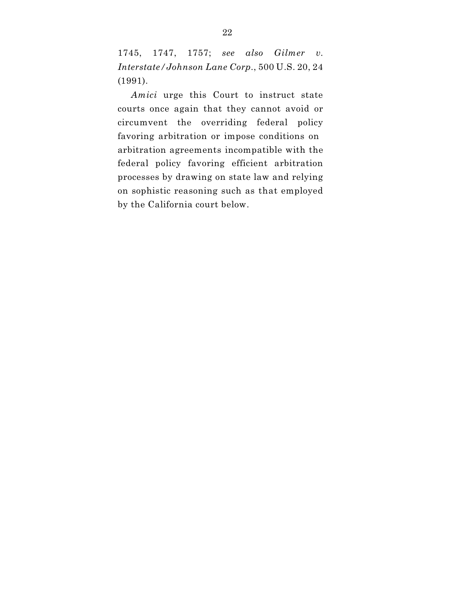1745, 1747, 1757; *see also Gilmer v. Interstate/Johnson Lane Corp.*, 500 U.S. 20, 24 (1991).

*Amici* urge this Court to instruct state courts once again that they cannot avoid or circumvent the overriding federal policy favoring arbitration or impose conditions on arbitration agreements incompatible with the federal policy favoring efficient arbitration processes by drawing on state law and relying on sophistic reasoning such as that employed by the California court below.